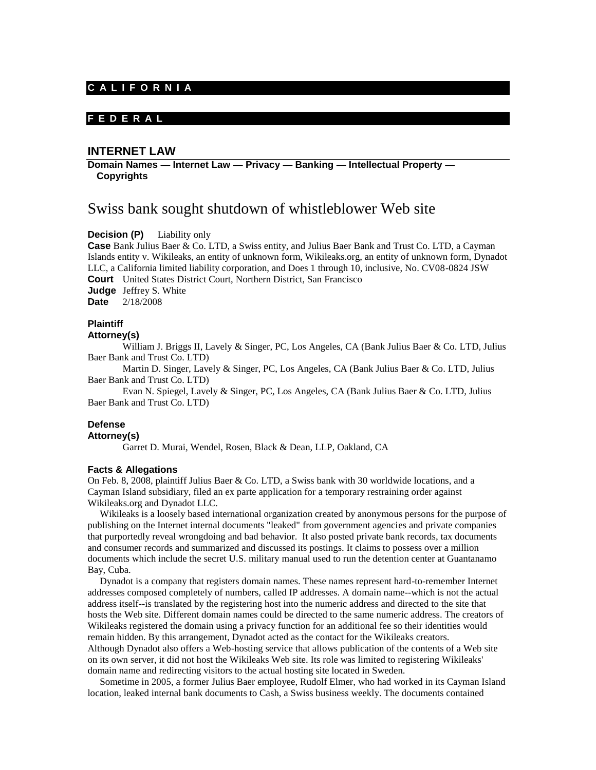## **C A L I F O R N I A**

## **F E D E R A L**

## **INTERNET LAW**

**Domain Names — Internet Law — Privacy — Banking — Intellectual Property — Copyrights** 

# Swiss bank sought shutdown of whistleblower Web site

**Decision (P)** Liability only

**Case** Bank Julius Baer & Co. LTD, a Swiss entity, and Julius Baer Bank and Trust Co. LTD, a Cayman Islands entity v. Wikileaks, an entity of unknown form, Wikileaks.org, an entity of unknown form, Dynadot LLC, a California limited liability corporation, and Does 1 through 10, inclusive, No. CV08-0824 JSW **Court** United States District Court, Northern District, San Francisco **Judge** Jeffrey S. White **Date** 2/18/2008

### **Plaintiff**

**Attorney(s)**

William J. Briggs II, Lavely & Singer, PC, Los Angeles, CA (Bank Julius Baer & Co. LTD, Julius Baer Bank and Trust Co. LTD)

Martin D. Singer, Lavely & Singer, PC, Los Angeles, CA (Bank Julius Baer & Co. LTD, Julius Baer Bank and Trust Co. LTD)

Evan N. Spiegel, Lavely & Singer, PC, Los Angeles, CA (Bank Julius Baer & Co. LTD, Julius Baer Bank and Trust Co. LTD)

# **Defense**

### **Attorney(s)**

Garret D. Murai, Wendel, Rosen, Black & Dean, LLP, Oakland, CA

#### **Facts & Allegations**

On Feb. 8, 2008, plaintiff Julius Baer & Co. LTD, a Swiss bank with 30 worldwide locations, and a Cayman Island subsidiary, filed an ex parte application for a temporary restraining order against Wikileaks.org and Dynadot LLC.

 Wikileaks is a loosely based international organization created by anonymous persons for the purpose of publishing on the Internet internal documents "leaked" from government agencies and private companies that purportedly reveal wrongdoing and bad behavior. It also posted private bank records, tax documents and consumer records and summarized and discussed its postings. It claims to possess over a million documents which include the secret U.S. military manual used to run the detention center at Guantanamo Bay, Cuba.

 Dynadot is a company that registers domain names. These names represent hard-to-remember Internet addresses composed completely of numbers, called IP addresses. A domain name--which is not the actual address itself--is translated by the registering host into the numeric address and directed to the site that hosts the Web site. Different domain names could be directed to the same numeric address. The creators of Wikileaks registered the domain using a privacy function for an additional fee so their identities would remain hidden. By this arrangement, Dynadot acted as the contact for the Wikileaks creators. Although Dynadot also offers a Web-hosting service that allows publication of the contents of a Web site on its own server, it did not host the Wikileaks Web site. Its role was limited to registering Wikileaks' domain name and redirecting visitors to the actual hosting site located in Sweden.

 Sometime in 2005, a former Julius Baer employee, Rudolf Elmer, who had worked in its Cayman Island location, leaked internal bank documents to Cash, a Swiss business weekly. The documents contained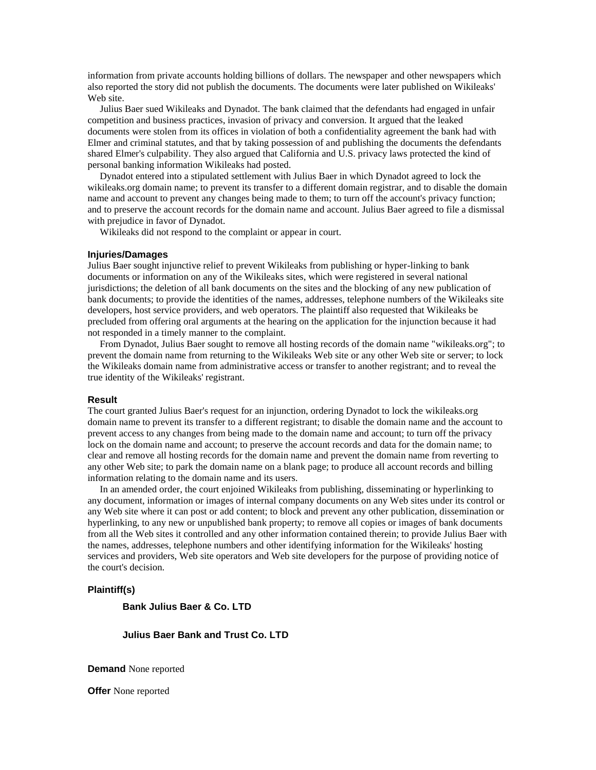information from private accounts holding billions of dollars. The newspaper and other newspapers which also reported the story did not publish the documents. The documents were later published on Wikileaks' Web site.

 Julius Baer sued Wikileaks and Dynadot. The bank claimed that the defendants had engaged in unfair competition and business practices, invasion of privacy and conversion. It argued that the leaked documents were stolen from its offices in violation of both a confidentiality agreement the bank had with Elmer and criminal statutes, and that by taking possession of and publishing the documents the defendants shared Elmer's culpability. They also argued that California and U.S. privacy laws protected the kind of personal banking information Wikileaks had posted.

 Dynadot entered into a stipulated settlement with Julius Baer in which Dynadot agreed to lock the wikileaks.org domain name; to prevent its transfer to a different domain registrar, and to disable the domain name and account to prevent any changes being made to them; to turn off the account's privacy function; and to preserve the account records for the domain name and account. Julius Baer agreed to file a dismissal with prejudice in favor of Dynadot.

Wikileaks did not respond to the complaint or appear in court.

#### **Injuries/Damages**

Julius Baer sought injunctive relief to prevent Wikileaks from publishing or hyper-linking to bank documents or information on any of the Wikileaks sites, which were registered in several national jurisdictions; the deletion of all bank documents on the sites and the blocking of any new publication of bank documents; to provide the identities of the names, addresses, telephone numbers of the Wikileaks site developers, host service providers, and web operators. The plaintiff also requested that Wikileaks be precluded from offering oral arguments at the hearing on the application for the injunction because it had not responded in a timely manner to the complaint.

 From Dynadot, Julius Baer sought to remove all hosting records of the domain name "wikileaks.org"; to prevent the domain name from returning to the Wikileaks Web site or any other Web site or server; to lock the Wikileaks domain name from administrative access or transfer to another registrant; and to reveal the true identity of the Wikileaks' registrant.

#### **Result**

The court granted Julius Baer's request for an injunction, ordering Dynadot to lock the wikileaks.org domain name to prevent its transfer to a different registrant; to disable the domain name and the account to prevent access to any changes from being made to the domain name and account; to turn off the privacy lock on the domain name and account; to preserve the account records and data for the domain name; to clear and remove all hosting records for the domain name and prevent the domain name from reverting to any other Web site; to park the domain name on a blank page; to produce all account records and billing information relating to the domain name and its users.

 In an amended order, the court enjoined Wikileaks from publishing, disseminating or hyperlinking to any document, information or images of internal company documents on any Web sites under its control or any Web site where it can post or add content; to block and prevent any other publication, dissemination or hyperlinking, to any new or unpublished bank property; to remove all copies or images of bank documents from all the Web sites it controlled and any other information contained therein; to provide Julius Baer with the names, addresses, telephone numbers and other identifying information for the Wikileaks' hosting services and providers, Web site operators and Web site developers for the purpose of providing notice of the court's decision.

#### **Plaintiff(s)**

**Bank Julius Baer & Co. LTD**

**Julius Baer Bank and Trust Co. LTD**

**Demand** None reported

**Offer** None reported